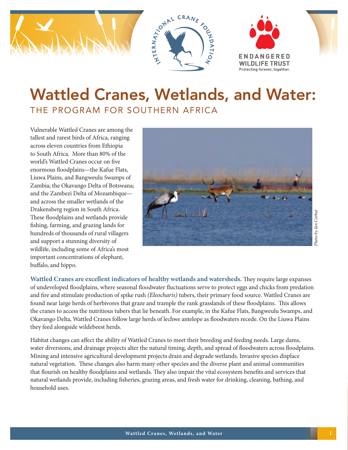

# Wattled Cranes, Wetlands, and Water: THE PROGRAM FOR SOUTHERN AFRICA

Vulnerable Wattled Cranes are among the tallest and rarest birds of Africa, ranging across eleven countries from Ethiopia to South Africa. More than 80% of the world's Wattled Cranes occur on five enormous floodplains—the Kafue Flats, Liuwa Plains, and Bangweulu Swamps of Zambia; the Okavango Delta of Botswana; and the Zambezi Delta of Mozambique and across the smaller wetlands of the Drakensberg region in South Africa. These floodplains and wetlands provide fishing, farming, and grazing lands for hundreds of thousands of rural villagers and support a stunning diversity of wildlife, including some of Africa's most important concentrations of elephant, buffalo, and hippo.



Photo by Ian Corbut *Photo by Ian Corbut*

**Wattled Cranes are excellent indicators of healthy wetlands and watersheds.** They require large expanses of undeveloped floodplains, where seasonal floodwater fluctuations serve to protect eggs and chicks from predation and fire and stimulate production of spike rush *(Eleocharis)* tubers, their primary food source. Wattled Cranes are found near large herds of herbivores that graze and trample the rank grasslands of these floodplains. This allows the cranes to access the nutritious tubers that lie beneath. For example, in the Kafue Flats, Bangweulu Swamps, and Okavango Delta, Wattled Cranes follow large herds of lechwe antelope as floodwaters recede. On the Liuwa Plains they feed alongside wildebeest herds.

Habitat changes can affect the ability of Wattled Cranes to meet their breeding and feeding needs. Large dams, water diversions, and drainage projects alter the natural timing, depth, and spread of floodwaters across floodplains. Mining and intensive agricultural development projects drain and degrade wetlands. Invasive species displace natural vegetation. These changes also harm many other species and the diverse plant and animal communities that flourish on healthy floodplains and wetlands. They also impair the vital ecosystem benefits and services that natural wetlands provide, including fisheries, grazing areas, and fresh water for drinking, cleaning, bathing, and household uses.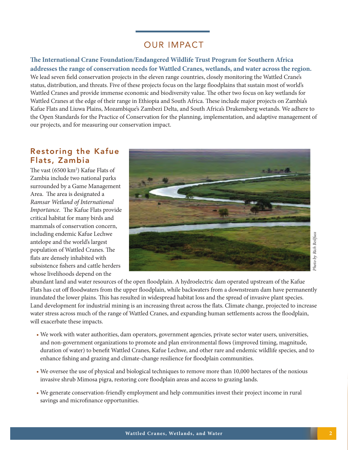## OUR IMPACT

**The International Crane Foundation/Endangered Wildlife Trust Program for Southern Africa addresses the range of conservation needs for Wattled Cranes, wetlands, and water across the region.**  We lead seven field conservation projects in the eleven range countries, closely monitoring the Wattled Crane's status, distribution, and threats. Five of these projects focus on the large floodplains that sustain most of world's Wattled Cranes and provide immense economic and biodiversity value. The other two focus on key wetlands for Wattled Cranes at the edge of their range in Ethiopia and South Africa. These include major projects on Zambia's Kafue Flats and Liuwa Plains, Mozambique's Zambezi Delta, and South Africa's Drakensberg wetands. We adhere to the Open Standards for the Practice of Conservation for the planning, implementation, and adaptive management of our projects, and for measuring our conservation impact.

#### Restoring the Kafue Flats, Zambia

The vast (6500 km<sup>2</sup>) Kafue Flats of Zambia include two national parks surrounded by a Game Management Area. The area is designated a *Ramsar Wetland of International Importance.* The Kafue Flats provide critical habitat for many birds and mammals of conservation concern, including endemic Kafue Lechwe antelope and the world's largest population of Wattled Cranes. The flats are densely inhabited with subsistence fishers and cattle herders whose livelihoods depend on the



Photo by Rich Beilfuss *Photo by Rich Beilfuss*

abundant land and water resources of the open floodplain. A hydroelectric dam operated upstream of the Kafue Flats has cut off floodwaters from the upper floodplain, while backwaters from a downstream dam have permanently inundated the lower plains. This has resulted in widespread habitat loss and the spread of invasive plant species. Land development for industrial mining is an increasing threat across the flats. Climate change, projected to increase water stress across much of the range of Wattled Cranes, and expanding human settlements across the floodplain, will exacerbate these impacts.

- We work with water authorities, dam operators, government agencies, private sector water users, universities, and non-government organizations to promote and plan environmental flows (improved timing, magnitude, duration of water) to benefit Wattled Cranes, Kafue Lechwe, and other rare and endemic wildlife species, and to enhance fishing and grazing and climate-change resilience for floodplain communities.
- We oversee the use of physical and biological techniques to remove more than 10,000 hectares of the noxious invasive shrub Mimosa pigra, restoring core floodplain areas and access to grazing lands.
- We generate conservation-friendly employment and help communities invest their project income in rural savings and microfinance opportunities.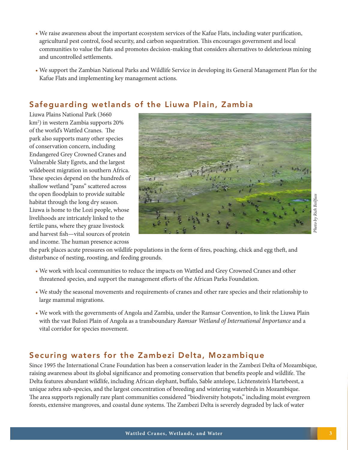- We raise awareness about the important ecosystem services of the Kafue Flats, including water purification, agricultural pest control, food security, and carbon sequestration. This encourages government and local communities to value the flats and promotes decision-making that considers alternatives to deleterious mining and uncontrolled settlements.
- We support the Zambian National Parks and Wildlife Service in developing its General Management Plan for the Kafue Flats and implementing key management actions.

### Safeguarding wetlands of the Liuwa Plain, Zambia

Liuwa Plains National Park (3660 km2 ) in western Zambia supports 20% of the world's Wattled Cranes. The park also supports many other species of conservation concern, including Endangered Grey Crowned Cranes and Vulnerable Slaty Egrets, and the largest wildebeest migration in southern Africa. These species depend on the hundreds of shallow wetland "pans" scattered across the open floodplain to provide suitable habitat through the long dry season. Liuwa is home to the Lozi people, whose livelihoods are intricately linked to the fertile pans, where they graze livestock and harvest fish—vital sources of protein and income. The human presence across



the park places acute pressures on wildlife populations in the form of fires, poaching, chick and egg theft, and disturbance of nesting, roosting, and feeding grounds.

- We work with local communities to reduce the impacts on Wattled and Grey Crowned Cranes and other threatened species, and support the management efforts of the African Parks Foundation.
- We study the seasonal movements and requirements of cranes and other rare species and their relationship to large mammal migrations.
- We work with the governments of Angola and Zambia, under the Ramsar Convention, to link the Liuwa Plain with the vast Bulozi Plain of Angola as a transboundary *Ramsar Wetland of International Importance* and a vital corridor for species movement.

#### Securing waters for the Zambezi Delta, Mozambique

Since 1995 the International Crane Foundation has been a conservation leader in the Zambezi Delta of Mozambique, raising awareness about its global significance and promoting conservation that benefits people and wildlife. The Delta features abundant wildlife, including African elephant, buffalo, Sable antelope, Lichtenstein's Hartebeest, a unique zebra sub-species, and the largest concentration of breeding and wintering waterbirds in Mozambique. The area supports regionally rare plant communities considered "biodiversity hotspots," including moist evergreen forests, extensive mangroves, and coastal dune systems. The Zambezi Delta is severely degraded by lack of water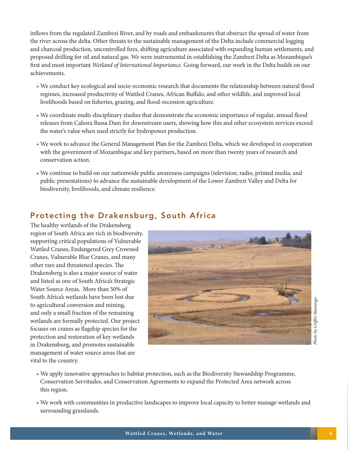inflows from the regulated Zambezi River, and by roads and embankments that obstruct the spread of water from the river across the delta. Other threats to the sustainable management of the Delta include commercial logging and charcoal production, uncontrolled fires, shifting agriculture associated with expanding human settlements, and proposed drilling for oil and natural gas. We were instrumental in establishing the Zambezi Delta as Mozambique's first and most important *Wetland of International Importance.* Going forward, our work in the Delta builds on our achievements.

- We conduct key ecological and socio-economic research that documents the relationship between natural flood regimes, increased productivity of Wattled Cranes, African Buffalo, and other wildlife, and improved local livelihoods based on fisheries, grazing, and flood-recession agriculture.
- We coordinate multi-disciplinary studies that demonstrate the economic importance of regular, annual flood releases from Cahora Bassa Dam for downstream users, showing how this and other ecosystem services exceed the water's value when used strictly for hydropower production.
- We work to advance the General Management Plan for the Zambezi Delta, which we developed in cooperation with the government of Mozambique and key partners, based on more than twenty years of research and conservation action.
- We continue to build on our nationwide public awareness campaigns (television, radio, printed media, and public presentations) to advance the sustainable development of the Lower Zambezi Valley and Delta for biodiversity, livelihoods, and climate resilience.

### Protecting the Drakensburg, South Africa

The healthy wetlands of the Drakensberg region of South Africa are rich in biodiversity, supporting critical populations of Vulnerable Wattled Cranes, Endangered Grey Crowned Cranes, Vulnerable Blue Cranes, and many other rare and threatened species. The Drakensberg is also a major source of water and listed as one of South Africa's Strategic Water Source Areas. More than 50% of South Africa's wetlands have been lost due to agricultural conversion and mining, and only a small fraction of the remaining wetlands are formally protected. Our project focuses on cranes as flagship species for the protection and restoration of key wetlands in Drakensburg, and promotes sustainable management of water source areas that are vital to the country.



- We apply innovative approaches to habitat protection, such as the Biodiversity Stewardship Programme, Conservation Servitudes, and Conservation Agreements to expand the Protected Area network across this region.
- We work with communities in productive landscapes to improve local capacity to better manage wetlands and surrounding grasslands.